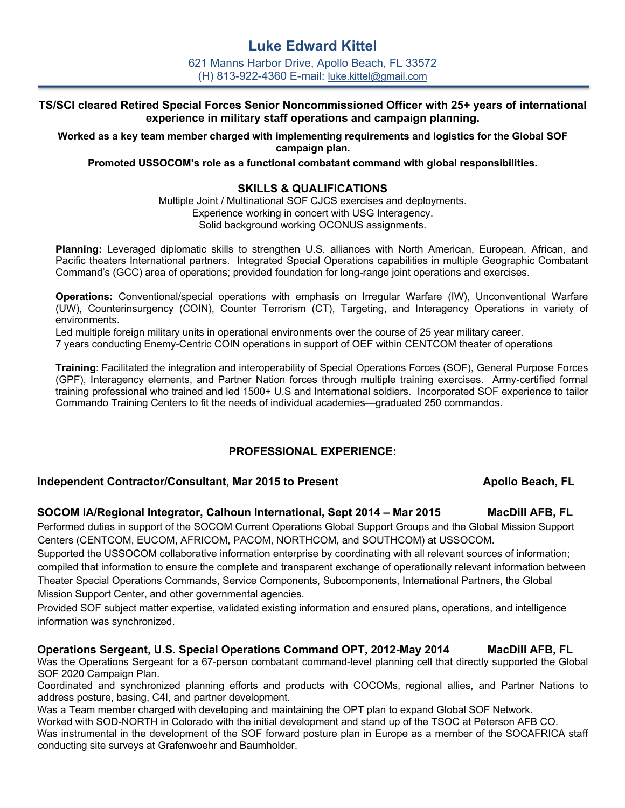# **Luke Edward Kittel**

621 Manns Harbor Drive, Apollo Beach, FL 33572 (H) 813-922-4360 E-mail: luke.kittel@gmail.com

# **TS/SCI cleared Retired Special Forces Senior Noncommissioned Officer with 25+ years of international experience in military staff operations and campaign planning.**

**Worked as a key team member charged with implementing requirements and logistics for the Global SOF campaign plan.**

**Promoted USSOCOM's role as a functional combatant command with global responsibilities.**

### **SKILLS & QUALIFICATIONS**

Multiple Joint / Multinational SOF CJCS exercises and deployments. Experience working in concert with USG Interagency. Solid background working OCONUS assignments.

**Planning:** Leveraged diplomatic skills to strengthen U.S. alliances with North American, European, African, and Pacific theaters International partners. Integrated Special Operations capabilities in multiple Geographic Combatant Command's (GCC) area of operations; provided foundation for long-range joint operations and exercises.

**Operations:** Conventional/special operations with emphasis on Irregular Warfare (IW), Unconventional Warfare (UW), Counterinsurgency (COIN), Counter Terrorism (CT), Targeting, and Interagency Operations in variety of environments.

Led multiple foreign military units in operational environments over the course of 25 year military career.

7 years conducting Enemy-Centric COIN operations in support of OEF within CENTCOM theater of operations

**Training**: Facilitated the integration and interoperability of Special Operations Forces (SOF), General Purpose Forces (GPF), Interagency elements, and Partner Nation forces through multiple training exercises. Army-certified formal training professional who trained and led 1500+ U.S and International soldiers. Incorporated SOF experience to tailor Commando Training Centers to fit the needs of individual academies—graduated 250 commandos.

# **PROFESSIONAL EXPERIENCE:**

### **Independent Contractor/Consultant, Mar 2015 to Present All Apollo Beach, FL**

### **SOCOM IA/Regional Integrator, Calhoun International, Sept 2014 – Mar 2015 MacDill AFB, FL**

Performed duties in support of the SOCOM Current Operations Global Support Groups and the Global Mission Support Centers (CENTCOM, EUCOM, AFRICOM, PACOM, NORTHCOM, and SOUTHCOM) at USSOCOM.

Supported the USSOCOM collaborative information enterprise by coordinating with all relevant sources of information; compiled that information to ensure the complete and transparent exchange of operationally relevant information between Theater Special Operations Commands, Service Components, Subcomponents, International Partners, the Global Mission Support Center, and other governmental agencies.

Provided SOF subject matter expertise, validated existing information and ensured plans, operations, and intelligence information was synchronized.

# **Operations Sergeant, U.S. Special Operations Command OPT, 2012-May 2014 MacDill AFB, FL**

Was the Operations Sergeant for a 67-person combatant command-level planning cell that directly supported the Global SOF 2020 Campaign Plan.

Coordinated and synchronized planning efforts and products with COCOMs, regional allies, and Partner Nations to address posture, basing, C4I, and partner development.

Was a Team member charged with developing and maintaining the OPT plan to expand Global SOF Network.

Worked with SOD-NORTH in Colorado with the initial development and stand up of the TSOC at Peterson AFB CO. Was instrumental in the development of the SOF forward posture plan in Europe as a member of the SOCAFRICA staff conducting site surveys at Grafenwoehr and Baumholder.